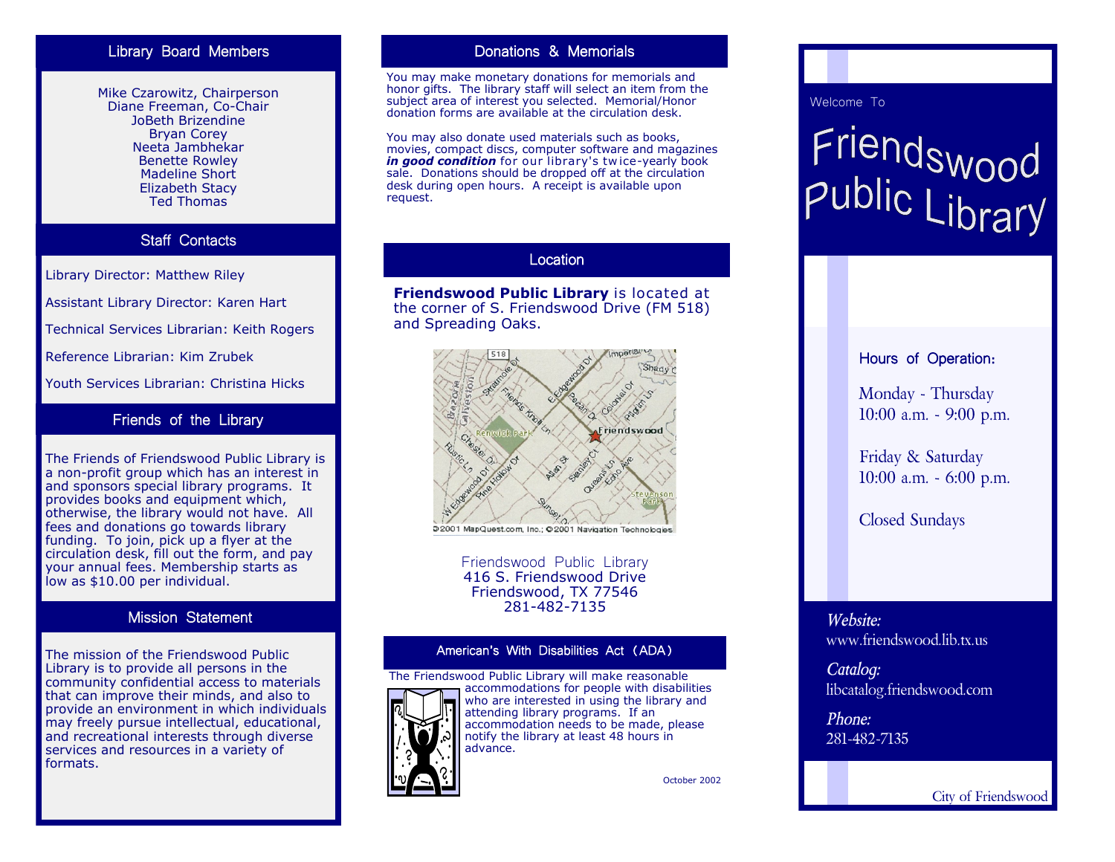# Library Board Members

Mike Czarowitz, Chairperson Diane Freeman, Co-Chair JoBeth Brizendine Bryan Corey Neeta Jambhekar Benette Rowley Madeline Short Elizabeth Stacy Ted Thomas

# Staff Contacts

Library Director: Matthew Riley

Assistant Library Director: Karen Hart

Technical Services Librarian: Keith Rogers

Reference Librarian: Kim Zrubek

Youth Services Librarian: Christina Hicks

# Friends of the Library

The Friends of Friendswood Public Library is a non-profit group which has an interest in and sponsors special library programs. It provides books and equipment which, otherwise, the library would not have. All fees and donations go towards library funding. To join, pick up a flyer at the circulation desk, fill out the form, and pay your annual fees. Membership starts as low as \$10.00 per individual.

## Mission Statement

The mission of the Friendswood Public Library is to provide all persons in the community confidential access to materials that can improve their minds, and also to provide an environment in which individuals may freely pursue intellectual, educational, and recreational interests through diverse services and resources in a variety of formats.

# Donations & Memorials

You may make monetary donations for memorials and honor gifts. The library staff will select an item from the subject area of interest you selected. Memorial/Honor donation forms are available at the circulation desk.

You may also donate used materials such as books, movies, compact discs, computer software and magazines *in good condition* for our library's tw ice-yearly book sale. Donations should be dropped off at the circulation desk during open hours. A receipt is available upon request.

# Location

**Friendswood Public Library** is located at the corner of S. Friendswood Drive (FM 518) and Spreading Oaks.



52001 MapQuest.com, Inc.; @2001 Navigation Technologies

Friendswood Public Library 416 S. Friendswood Drive Friendswood, TX 77546 281-482-7135

## American's With Disabilities Act (ADA)



The Friendswood Public Library will make reasonable accommodations for people with disabilities who are interested in using the library and attending library programs. If an accommodation needs to be made, please notify the library at least 48 hours in advance.

October 2002

## Welcome To

# Friendswood<br>Public Library

# Hours of Operation:

Monday - Thursday 10:00 a.m. - 9:00 p.m.

Friday & Saturday 10:00 a.m. - 6:00 p.m.

Closed Sundays

# *Website:* www.friendswood.lib.tx.us

*Catalog:* libcatalog.friendswood.com

*Phone:* 281-482-7135

City of Friendswood